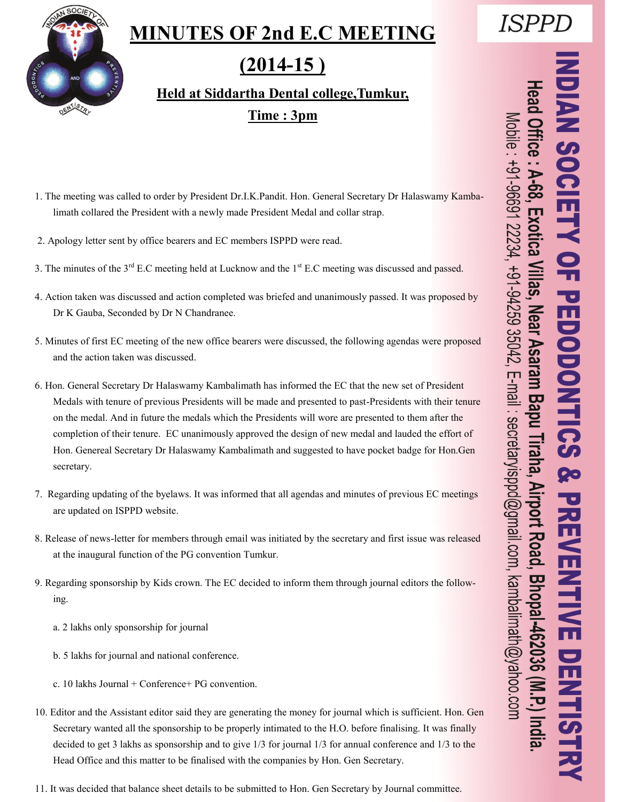## **MINUTES OF 2nd E.C MEETING**



#### **(2014-15 )**

**Held at Siddartha Dental college,Tumkur,** 

**Time : 3pm**

- 1. The meeting was called to order by President Dr.I.K.Pandit. Hon. General Secretary Dr Halaswamy Kambalimath collared the President with a newly made President Medal and collar strap.
- 2. Apology letter sent by office bearers and EC members ISPPD were read.
- 3. The minutes of the  $3<sup>rd</sup>$  E.C meeting held at Lucknow and the  $1<sup>st</sup>$  E.C meeting was discussed and passed.
- 4. Action taken was discussed and action completed was briefed and unanimously passed. It was proposed by Dr K Gauba, Seconded by Dr N Chandranee.
- 5. Minutes of first EC meeting of the new office bearers were discussed, the following agendas were proposed and the action taken was discussed.
- 6. Hon. General Secretary Dr Halaswamy Kambalimath has informed the EC that the new set of President Medals with tenure of previous Presidents will be made and presented to past-Presidents with their tenure on the medal. And in future the medals which the Presidents will wore are presented to them after the completion of their tenure. EC unanimously approved the design of new medal and lauded the effort of Hon. Genereal Secretary Dr Halaswamy Kambalimath and suggested to have pocket badge for Hon.Gen secretary.
- 7. Regarding updating of the byelaws. It was informed that all agendas and minutes of previous EC meetings are updated on ISPPD website.
- 8. Release of news-letter for members through email was initiated by the secretary and first issue was released at the inaugural function of the PG convention Tumkur.
- 9. Regarding sponsorship by Kids crown. The EC decided to inform them through journal editors the following.
	- a. 2 lakhs only sponsorship for journal
	- b. 5 lakhs for journal and national conference.
	- c. 10 lakhs Journal + Conference+ PG convention.
- 10. Editor and the Assistant editor said they are generating the money for journal which is sufficient. Hon. Gen Secretary wanted all the sponsorship to be properly intimated to the H.O. before finalising. It was finally decided to get 3 lakhs as sponsorship and to give 1/3 for journal 1/3 for annual conference and 1/3 to the Head Office and this matter to be finalised with the companies by Hon. Gen Secretary.
- 11. It was decided that balance sheet details to be submitted to Hon. Gen Secretary by Journal committee.

**ISPPD**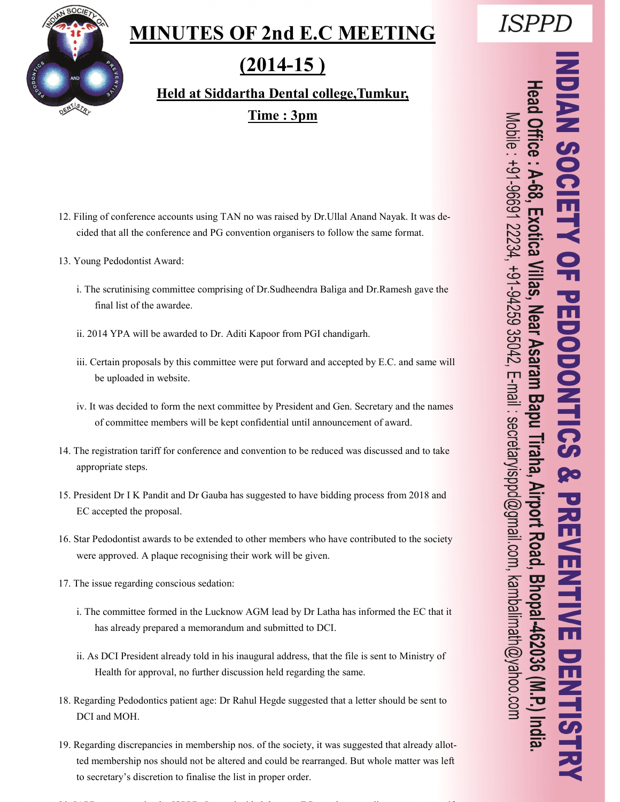## **MINUTES OF 2nd E.C MEETING**



#### **(2014-15 )**

**Held at Siddartha Dental college,Tumkur,** 

**Time : 3pm**

- 12. Filing of conference accounts using TAN no was raised by Dr.Ullal Anand Nayak. It was decided that all the conference and PG convention organisers to follow the same format.
- 13. Young Pedodontist Award:
	- i. The scrutinising committee comprising of Dr.Sudheendra Baliga and Dr.Ramesh gave the final list of the awardee.
	- ii. 2014 YPA will be awarded to Dr. Aditi Kapoor from PGI chandigarh.
	- iii. Certain proposals by this committee were put forward and accepted by E.C. and same will be uploaded in website.
	- iv. It was decided to form the next committee by President and Gen. Secretary and the names of committee members will be kept confidential until announcement of award.
- 14. The registration tariff for conference and convention to be reduced was discussed and to take appropriate steps.
- 15. President Dr I K Pandit and Dr Gauba has suggested to have bidding process from 2018 and EC accepted the proposal.
- 16. Star Pedodontist awards to be extended to other members who have contributed to the society were approved. A plaque recognising their work will be given.
- 17. The issue regarding conscious sedation:
	- i. The committee formed in the Lucknow AGM lead by Dr Latha has informed the EC that it has already prepared a memorandum and submitted to DCI.
	- ii. As DCI President already told in his inaugural address, that the file is sent to Ministry of Health for approval, no further discussion held regarding the same.
- 18. Regarding Pedodontics patient age: Dr Rahul Hegde suggested that a letter should be sent to DCI and MOH.
- 19. Regarding discrepancies in membership nos. of the society, it was suggested that already allotted membership nos should not be altered and could be rearranged. But whole matter was left to secretary's discretion to finalise the list in proper order.

20. IAPD representation by ISPPD: It was decided that any EC member attending can represent if

**ISPPD**